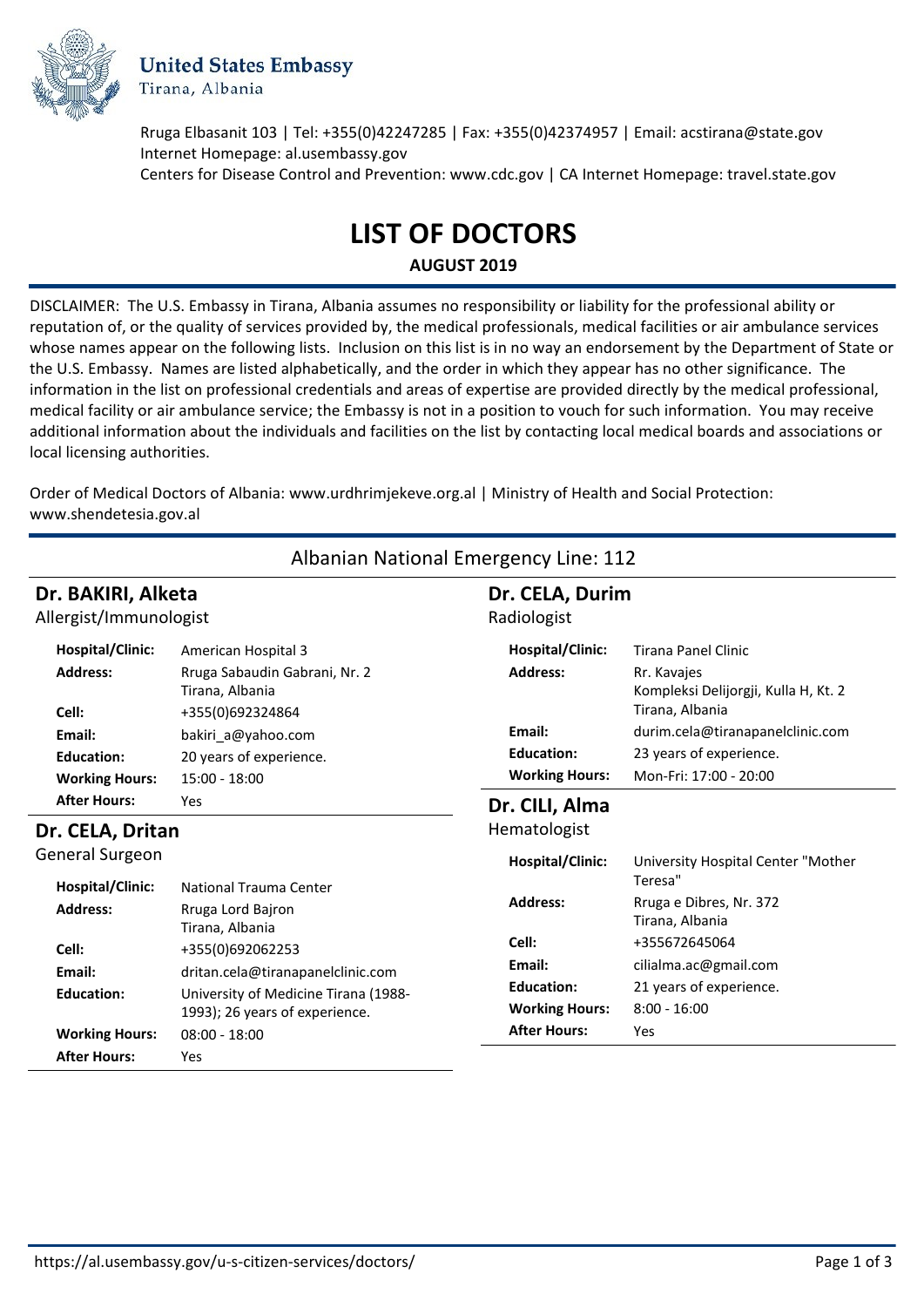

**United States Embassy** Tirana, Albania

Rruga Elbasanit 103 | Tel: +355(0)42247285 | Fax: +355(0)42374957 | Email: acstirana@state.gov Internet Homepage: al.usembassy.gov Centers for Disease Control and Prevention: www.cdc.gov | CA Internet Homepage: travel.state.gov

# **LIST OF DOCTORS**

**AUGUST 2019**

DISCLAIMER: The U.S. Embassy in Tirana, Albania assumes no responsibility or liability for the professional ability or reputation of, or the quality of services provided by, the medical professionals, medical facilities or air ambulance services whose names appear on the following lists. Inclusion on this list is in no way an endorsement by the Department of State or the U.S. Embassy. Names are listed alphabetically, and the order in which they appear has no other significance. The information in the list on professional credentials and areas of expertise are provided directly by the medical professional, medical facility or air ambulance service; the Embassy is not in a position to vouch for such information. You may receive additional information about the individuals and facilities on the list by contacting local medical boards and associations or local licensing authorities.

Order of Medical Doctors of Albania: www.urdhrimjekeve.org.al | Ministry of Health and Social Protection: www.shendetesia.gov.al

| Albanian National Emergency Line: 112                         |                                                                                               |                                                      |                                                                                                          |  |
|---------------------------------------------------------------|-----------------------------------------------------------------------------------------------|------------------------------------------------------|----------------------------------------------------------------------------------------------------------|--|
| Dr. BAKIRI, Alketa<br>Allergist/Immunologist                  |                                                                                               | Dr. CELA, Durim<br>Radiologist                       |                                                                                                          |  |
| <b>Hospital/Clinic:</b><br><b>Address:</b>                    | American Hospital 3<br>Rruga Sabaudin Gabrani, Nr. 2<br>Tirana, Albania                       | Hospital/Clinic:<br><b>Address:</b>                  | <b>Tirana Panel Clinic</b><br>Rr. Kavajes<br>Kompleksi Delijorgji, Kulla H, Kt. 2                        |  |
| Cell:<br>Email:<br><b>Education:</b><br><b>Working Hours:</b> | +355(0)692324864<br>bakiri_a@yahoo.com<br>20 years of experience.<br>$15:00 - 18:00$          | Email:<br><b>Education:</b><br><b>Working Hours:</b> | Tirana, Albania<br>durim.cela@tiranapanelclinic.com<br>23 years of experience.<br>Mon-Fri: 17:00 - 20:00 |  |
| <b>After Hours:</b><br>Yes<br>Dr. CELA, Dritan                |                                                                                               | Dr. CILI, Alma<br>Hematologist                       |                                                                                                          |  |
| General Surgeon<br><b>Hospital/Clinic:</b>                    | National Trauma Center                                                                        | Hospital/Clinic:                                     | University Hospital Center "Mother<br>Teresa"                                                            |  |
| <b>Address:</b>                                               | Rruga Lord Bajron<br>Tirana, Albania                                                          | <b>Address:</b><br>Cell:                             | Rruga e Dibres, Nr. 372<br>Tirana, Albania<br>+355672645064                                              |  |
| Cell:<br>Email:<br><b>Education:</b>                          | +355(0)692062253<br>dritan.cela@tiranapanelclinic.com<br>University of Medicine Tirana (1988- | Email:<br><b>Education:</b>                          | cilialma.ac@gmail.com<br>21 years of experience.                                                         |  |
| <b>Working Hours:</b><br><b>After Hours:</b>                  | 1993); 26 years of experience.<br>$08:00 - 18:00$<br>Yes                                      | <b>Working Hours:</b><br><b>After Hours:</b>         | $8:00 - 16:00$<br><b>Yes</b>                                                                             |  |

https://al.usembassy.gov/u-s-citizen-services/doctors/ Page 1 of 3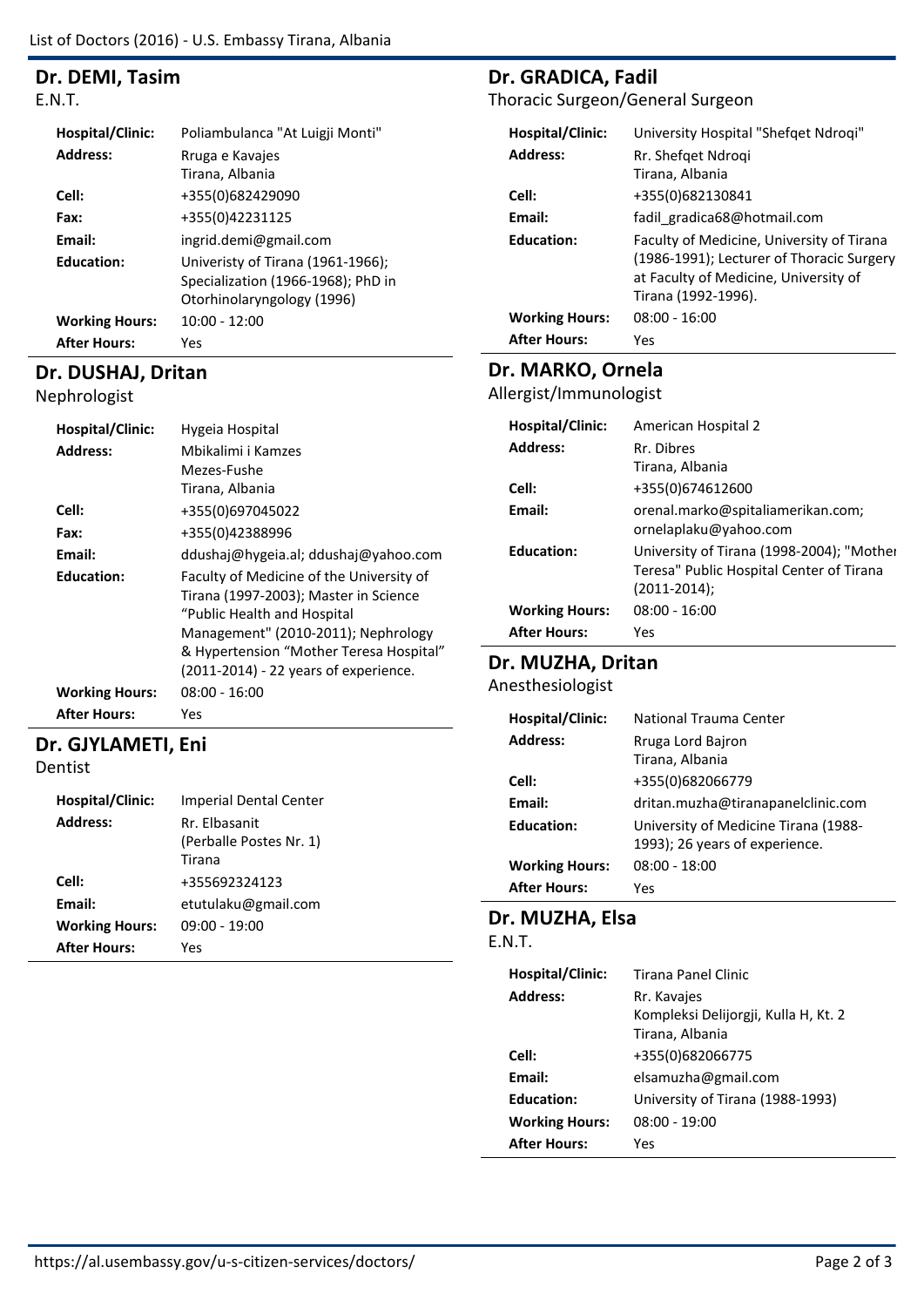## **Dr. DEMI, Tasim**

E.N.T.

| <b>Hospital/Clinic:</b> | Poliambulanca "At Luigji Monti"                                                                       |
|-------------------------|-------------------------------------------------------------------------------------------------------|
| <b>Address:</b>         | Rruga e Kavajes                                                                                       |
|                         | Tirana, Albania                                                                                       |
| Cell:                   | +355(0)682429090                                                                                      |
| Fax:                    | +355(0)42231125                                                                                       |
| Email:                  | ingrid.demi@gmail.com                                                                                 |
| <b>Education:</b>       | Univeristy of Tirana (1961-1966);<br>Specialization (1966-1968); PhD in<br>Otorhinolaryngology (1996) |
| <b>Working Hours:</b>   | $10:00 - 12:00$                                                                                       |
| <b>After Hours:</b>     | Yes                                                                                                   |

## **Dr. DUSHAJ, Dritan**

Nephrologist

| <b>Hospital/Clinic:</b><br>Address: | Hygeia Hospital<br>Mbikalimi i Kamzes<br>Mezes-Fushe<br>Tirana, Albania                                                                                                                                                                     |
|-------------------------------------|---------------------------------------------------------------------------------------------------------------------------------------------------------------------------------------------------------------------------------------------|
| Cell:                               | +355(0)697045022                                                                                                                                                                                                                            |
| Fax:                                | +355(0)42388996                                                                                                                                                                                                                             |
| Email:                              | ddushaj@hygeia.al; ddushaj@yahoo.com                                                                                                                                                                                                        |
| <b>Education:</b>                   | Faculty of Medicine of the University of<br>Tirana (1997-2003); Master in Science<br>"Public Health and Hospital<br>Management" (2010-2011); Nephrology<br>& Hypertension "Mother Teresa Hospital"<br>(2011-2014) - 22 years of experience. |
| <b>Working Hours:</b>               | $08:00 - 16:00$                                                                                                                                                                                                                             |
| <b>After Hours:</b>                 | Yes                                                                                                                                                                                                                                         |

## **Dr. GJYLAMETI, Eni**

Dentist

| <b>Hospital/Clinic:</b><br><b>Address:</b> | <b>Imperial Dental Center</b><br>Rr. Flbasanit<br>(Perballe Postes Nr. 1)<br>Tirana |
|--------------------------------------------|-------------------------------------------------------------------------------------|
| Cell:                                      | +355692324123                                                                       |
| Email:<br><b>Working Hours:</b>            | etutulaku@gmail.com<br>09:00 - 19:00                                                |
| <b>After Hours:</b>                        | Yes                                                                                 |

## **Dr. GRADICA, Fadil**

Thoracic Surgeon/General Surgeon

| Hospital/Clinic:      | University Hospital "Shefqet Ndroqi"                                                                                                                   |
|-----------------------|--------------------------------------------------------------------------------------------------------------------------------------------------------|
| <b>Address:</b>       | Rr. Shefqet Ndroqi                                                                                                                                     |
|                       | Tirana, Albania                                                                                                                                        |
| Cell:                 | +355(0)682130841                                                                                                                                       |
| Email:                | fadil gradica68@hotmail.com                                                                                                                            |
| <b>Education:</b>     | Faculty of Medicine, University of Tirana<br>(1986-1991); Lecturer of Thoracic Surgery<br>at Faculty of Medicine, University of<br>Tirana (1992-1996). |
| <b>Working Hours:</b> | $08:00 - 16:00$                                                                                                                                        |
| <b>After Hours:</b>   | Yes                                                                                                                                                    |

## **Dr. MARKO, Ornela**

Allergist/Immunologist

| Hospital/Clinic:      | American Hospital 2                                                                                       |
|-----------------------|-----------------------------------------------------------------------------------------------------------|
| <b>Address:</b>       | Rr. Dibres                                                                                                |
|                       | Tirana, Albania                                                                                           |
| Cell:                 | +355(0)674612600                                                                                          |
| Email:                | orenal.marko@spitaliamerikan.com;<br>ornelaplaku@yahoo.com                                                |
| <b>Education:</b>     | University of Tirana (1998-2004); "Mother<br>Teresa" Public Hospital Center of Tirana<br>$(2011 - 2014);$ |
| <b>Working Hours:</b> | $08:00 - 16:00$                                                                                           |
| <b>After Hours:</b>   | Yes                                                                                                       |

### **Dr. MUZHA, Dritan**

Anesthesiologist

| Hospital/Clinic:      | National Trauma Center               |
|-----------------------|--------------------------------------|
| <b>Address:</b>       | Rruga Lord Bairon                    |
|                       | Tirana, Albania                      |
| Cell:                 | +355(0)682066779                     |
| Email:                | dritan.muzha@tiranapanelclinic.com   |
| <b>Education:</b>     | University of Medicine Tirana (1988- |
|                       | 1993); 26 years of experience.       |
| <b>Working Hours:</b> | 08:00 - 18:00                        |
| <b>After Hours:</b>   | Yes                                  |

#### **Dr. MUZHA, Elsa**

E.N.T.

| <b>Hospital/Clinic:</b><br><b>Address:</b> | Tirana Panel Clinic<br>Rr. Kavajes<br>Kompleksi Delijorgji, Kulla H, Kt. 2<br>Tirana, Albania |
|--------------------------------------------|-----------------------------------------------------------------------------------------------|
| Cell:                                      | +355(0)682066775                                                                              |
| <b>Fmail:</b>                              | elsamuzha@gmail.com                                                                           |
| <b>Education:</b>                          | University of Tirana (1988-1993)                                                              |
| <b>Working Hours:</b>                      | $08:00 - 19:00$                                                                               |
| <b>After Hours:</b>                        | Yes                                                                                           |